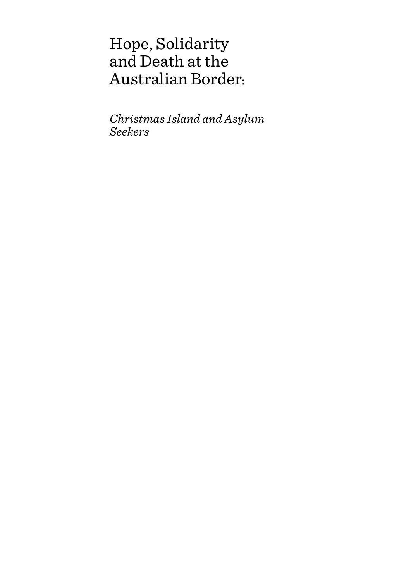# Hope, Solidarity and Death at the Australian Border:

*Christmas Island and Asylum Seekers*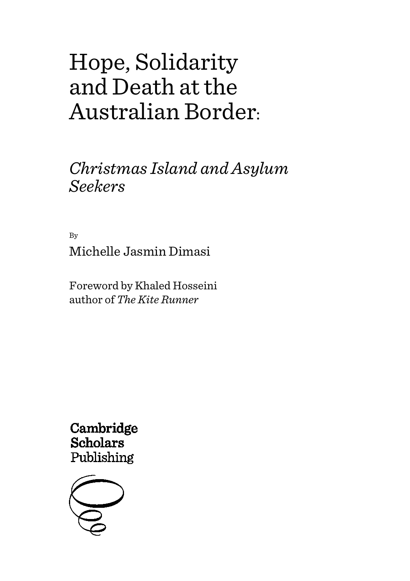# Hope, Solidarity and Death at the Australian Border:

*Christmas Island and Asylum Seekers*

By Michelle Jasmin Dimasi

Foreword by Khaled Hosseini author of *The Kite Runner*

Cambridge **Scholars** Publishing

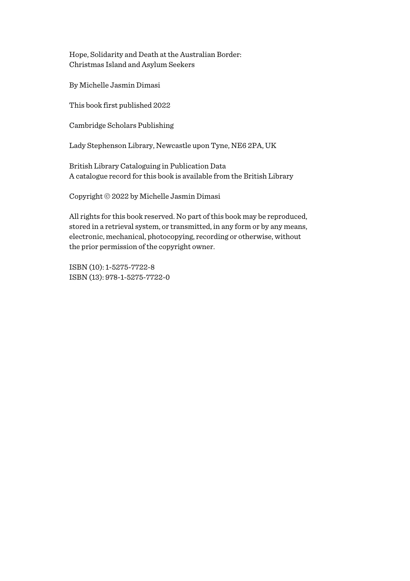Hope, Solidarity and Death at the Australian Border: Christmas Island and Asylum Seekers

By Michelle Jasmin Dimasi

This book first published 2022

Cambridge Scholars Publishing

Lady Stephenson Library, Newcastle upon Tyne, NE6 2PA, UK

British Library Cataloguing in Publication Data A catalogue record for this book is available from the British Library

Copyright © 2022 by Michelle Jasmin Dimasi

All rights for this book reserved. No part of this book may be reproduced, stored in a retrieval system, or transmitted, in any form or by any means, electronic, mechanical, photocopying, recording or otherwise, without the prior permission of the copyright owner.

ISBN (10): 1-5275-7722-8 ISBN (13): 978-1-5275-7722-0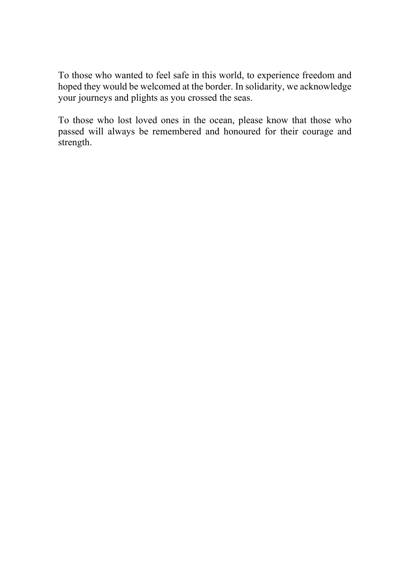To those who wanted to feel safe in this world, to experience freedom and hoped they would be welcomed at the border. In solidarity, we acknowledge your journeys and plights as you crossed the seas.

To those who lost loved ones in the ocean, please know that those who passed will always be remembered and honoured for their courage and strength.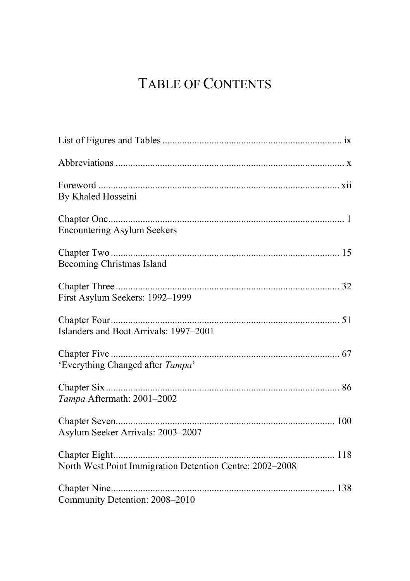## TABLE OF CONTENTS

| By Khaled Hosseini                                       |  |
|----------------------------------------------------------|--|
| <b>Encountering Asylum Seekers</b>                       |  |
| Becoming Christmas Island                                |  |
| First Asylum Seekers: 1992–1999                          |  |
| Islanders and Boat Arrivals: 1997–2001                   |  |
| 'Everything Changed after Tampa'                         |  |
| Tampa Aftermath: 2001-2002                               |  |
| Asylum Seeker Arrivals: 2003-2007                        |  |
| North West Point Immigration Detention Centre: 2002-2008 |  |
| Community Detention: 2008-2010                           |  |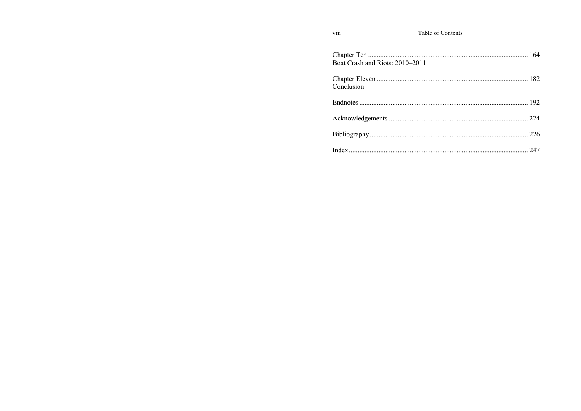### Table of Contents

| Boat Crash and Riots: 2010-2011 |  |
|---------------------------------|--|
| Conclusion                      |  |
|                                 |  |
|                                 |  |
|                                 |  |
|                                 |  |

viii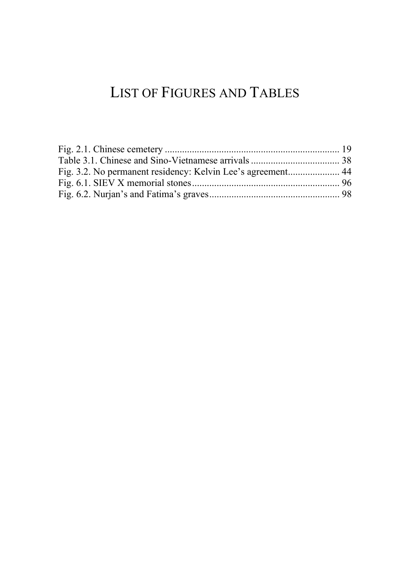## LIST OF FIGURES AND TABLES

| Fig. 3.2. No permanent residency: Kelvin Lee's agreement 44 |  |
|-------------------------------------------------------------|--|
|                                                             |  |
|                                                             |  |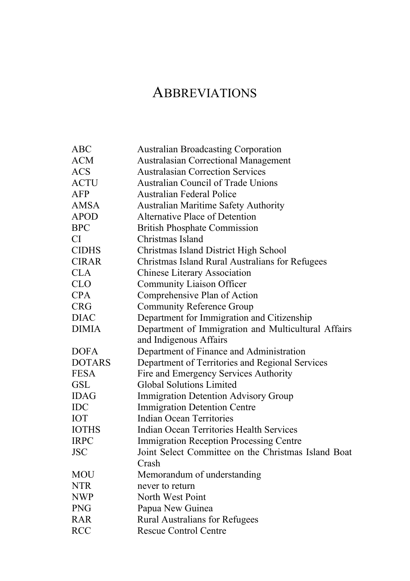## **ABBREVIATIONS**

| ABC           | <b>Australian Broadcasting Corporation</b>          |
|---------------|-----------------------------------------------------|
| <b>ACM</b>    | <b>Australasian Correctional Management</b>         |
| <b>ACS</b>    | <b>Australasian Correction Services</b>             |
| ACTU          | Australian Council of Trade Unions                  |
| AFP           | Australian Federal Police                           |
| AMSA          | Australian Maritime Safety Authority                |
| <b>APOD</b>   | Alternative Place of Detention                      |
| <b>BPC</b>    | <b>British Phosphate Commission</b>                 |
| CI            | Christmas Island                                    |
| <b>CIDHS</b>  | Christmas Island District High School               |
| <b>CIRAR</b>  | Christmas Island Rural Australians for Refugees     |
| <b>CLA</b>    | Chinese Literary Association                        |
| <b>CLO</b>    | Community Liaison Officer                           |
| <b>CPA</b>    | Comprehensive Plan of Action                        |
| <b>CRG</b>    | Community Reference Group                           |
| <b>DIAC</b>   | Department for Immigration and Citizenship          |
| <b>DIMIA</b>  | Department of Immigration and Multicultural Affairs |
|               | and Indigenous Affairs                              |
| <b>DOFA</b>   | Department of Finance and Administration            |
| <b>DOTARS</b> | Department of Territories and Regional Services     |
| <b>FESA</b>   | Fire and Emergency Services Authority               |
| <b>GSL</b>    | Global Solutions Limited                            |
| <b>IDAG</b>   | Immigration Detention Advisory Group                |
| IDC           | Immigration Detention Centre                        |
| <b>IOT</b>    | Indian Ocean Territories                            |
| <b>IOTHS</b>  | Indian Ocean Territories Health Services            |
| <b>IRPC</b>   | Immigration Reception Processing Centre             |
| <b>JSC</b>    | Joint Select Committee on the Christmas Island Boat |
|               | Crash                                               |
| MOU           | Memorandum of understanding                         |
| <b>NTR</b>    | never to return                                     |
| <b>NWP</b>    | North West Point                                    |
| <b>PNG</b>    | Papua New Guinea                                    |
| RAR           | Rural Australians for Refugees                      |
| <b>RCC</b>    | Rescue Control Centre                               |
|               |                                                     |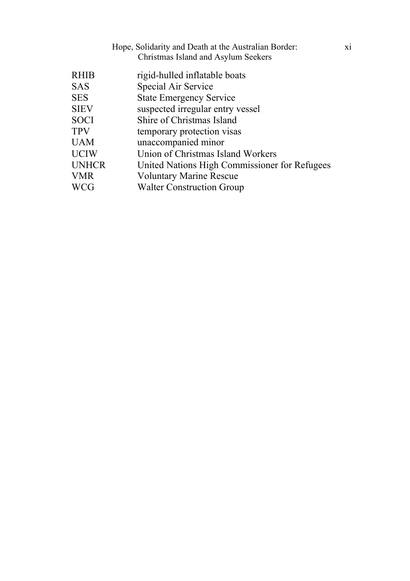|              | Hope, Solidarity and Death at the Australian Border: |
|--------------|------------------------------------------------------|
|              | Christmas Island and Asylum Seekers                  |
|              |                                                      |
| <b>RHIB</b>  | rigid-hulled inflatable boats                        |
| <b>SAS</b>   | Special Air Service                                  |
| <b>SES</b>   | <b>State Emergency Service</b>                       |
| <b>SIEV</b>  | suspected irregular entry vessel                     |
| <b>SOCI</b>  | Shire of Christmas Island                            |
| <b>TPV</b>   | temporary protection visas                           |
| <b>UAM</b>   | unaccompanied minor                                  |
| <b>UCIW</b>  | Union of Christmas Island Workers                    |
| <b>UNHCR</b> | United Nations High Commissioner for Refugees        |
| <b>VMR</b>   | <b>Voluntary Marine Rescue</b>                       |
| WCG          | <b>Walter Construction Group</b>                     |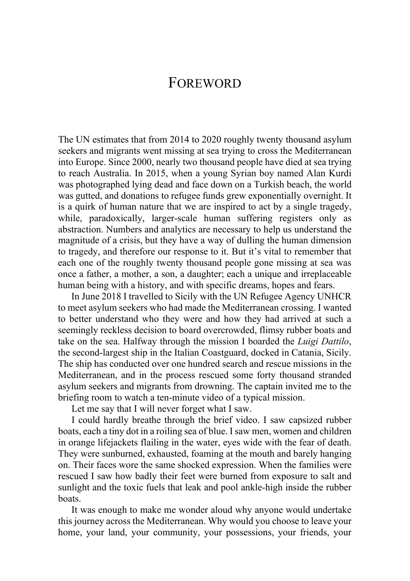## FOREWORD

The UN estimates that from 2014 to 2020 roughly twenty thousand asylum seekers and migrants went missing at sea trying to cross the Mediterranean into Europe. Since 2000, nearly two thousand people have died at sea trying to reach Australia. In 2015, when a young Syrian boy named Alan Kurdi was photographed lying dead and face down on a Turkish beach, the world was gutted, and donations to refugee funds grew exponentially overnight. It is a quirk of human nature that we are inspired to act by a single tragedy, while, paradoxically, larger-scale human suffering registers only as abstraction. Numbers and analytics are necessary to help us understand the magnitude of a crisis, but they have a way of dulling the human dimension to tragedy, and therefore our response to it. But it's vital to remember that each one of the roughly twenty thousand people gone missing at sea was once a father, a mother, a son, a daughter; each a unique and irreplaceable human being with a history, and with specific dreams, hopes and fears.

In June 2018 I travelled to Sicily with the UN Refugee Agency UNHCR to meet asylum seekers who had made the Mediterranean crossing. I wanted to better understand who they were and how they had arrived at such a seemingly reckless decision to board overcrowded, flimsy rubber boats and take on the sea. Halfway through the mission I boarded the *Luigi Dattilo*, the second-largest ship in the Italian Coastguard, docked in Catania, Sicily. The ship has conducted over one hundred search and rescue missions in the Mediterranean, and in the process rescued some forty thousand stranded asylum seekers and migrants from drowning. The captain invited me to the briefing room to watch a ten-minute video of a typical mission.

Let me say that I will never forget what I saw.

I could hardly breathe through the brief video. I saw capsized rubber boats, each a tiny dot in a roiling sea of blue. I saw men, women and children in orange lifejackets flailing in the water, eyes wide with the fear of death. They were sunburned, exhausted, foaming at the mouth and barely hanging on. Their faces wore the same shocked expression. When the families were rescued I saw how badly their feet were burned from exposure to salt and sunlight and the toxic fuels that leak and pool ankle-high inside the rubber boats.

It was enough to make me wonder aloud why anyone would undertake this journey across the Mediterranean. Why would you choose to leave your home, your land, your community, your possessions, your friends, your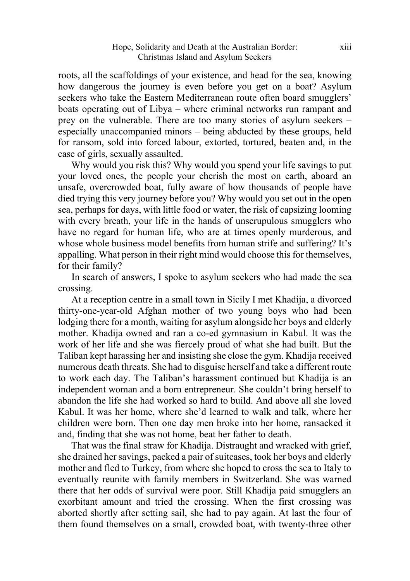roots, all the scaffoldings of your existence, and head for the sea, knowing how dangerous the journey is even before you get on a boat? Asylum seekers who take the Eastern Mediterranean route often board smugglers' boats operating out of Libya – where criminal networks run rampant and prey on the vulnerable. There are too many stories of asylum seekers – especially unaccompanied minors – being abducted by these groups, held for ransom, sold into forced labour, extorted, tortured, beaten and, in the case of girls, sexually assaulted.

Why would you risk this? Why would you spend your life savings to put your loved ones, the people your cherish the most on earth, aboard an unsafe, overcrowded boat, fully aware of how thousands of people have died trying this very journey before you? Why would you set out in the open sea, perhaps for days, with little food or water, the risk of capsizing looming with every breath, your life in the hands of unscrupulous smugglers who have no regard for human life, who are at times openly murderous, and whose whole business model benefits from human strife and suffering? It's appalling. What person in their right mind would choose this for themselves, for their family?

In search of answers, I spoke to asylum seekers who had made the sea crossing.

At a reception centre in a small town in Sicily I met Khadija, a divorced thirty-one-year-old Afghan mother of two young boys who had been lodging there for a month, waiting for asylum alongside her boys and elderly mother. Khadija owned and ran a co-ed gymnasium in Kabul. It was the work of her life and she was fiercely proud of what she had built. But the Taliban kept harassing her and insisting she close the gym. Khadija received numerous death threats. She had to disguise herself and take a different route to work each day. The Taliban's harassment continued but Khadija is an independent woman and a born entrepreneur. She couldn't bring herself to abandon the life she had worked so hard to build. And above all she loved Kabul. It was her home, where she'd learned to walk and talk, where her children were born. Then one day men broke into her home, ransacked it and, finding that she was not home, beat her father to death.

That was the final straw for Khadija. Distraught and wracked with grief, she drained her savings, packed a pair of suitcases, took her boys and elderly mother and fled to Turkey, from where she hoped to cross the sea to Italy to eventually reunite with family members in Switzerland. She was warned there that her odds of survival were poor. Still Khadija paid smugglers an exorbitant amount and tried the crossing. When the first crossing was aborted shortly after setting sail, she had to pay again. At last the four of them found themselves on a small, crowded boat, with twenty-three other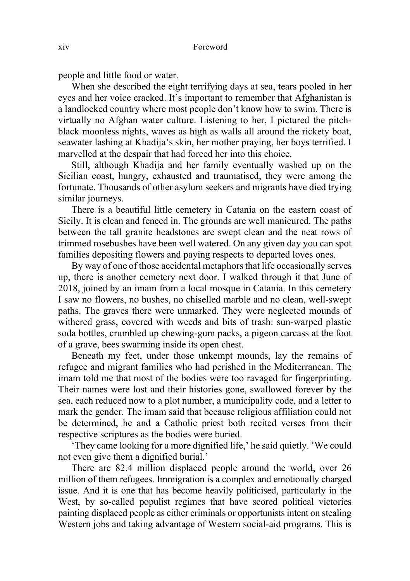people and little food or water.

When she described the eight terrifying days at sea, tears pooled in her eyes and her voice cracked. It's important to remember that Afghanistan is a landlocked country where most people don't know how to swim. There is virtually no Afghan water culture. Listening to her, I pictured the pitchblack moonless nights, waves as high as walls all around the rickety boat, seawater lashing at Khadija's skin, her mother praying, her boys terrified. I marvelled at the despair that had forced her into this choice.

Still, although Khadija and her family eventually washed up on the Sicilian coast, hungry, exhausted and traumatised, they were among the fortunate. Thousands of other asylum seekers and migrants have died trying similar journeys.

There is a beautiful little cemetery in Catania on the eastern coast of Sicily. It is clean and fenced in. The grounds are well manicured. The paths between the tall granite headstones are swept clean and the neat rows of trimmed rosebushes have been well watered. On any given day you can spot families depositing flowers and paying respects to departed loves ones.

By way of one of those accidental metaphors that life occasionally serves up, there is another cemetery next door. I walked through it that June of 2018, joined by an imam from a local mosque in Catania. In this cemetery I saw no flowers, no bushes, no chiselled marble and no clean, well-swept paths. The graves there were unmarked. They were neglected mounds of withered grass, covered with weeds and bits of trash: sun-warped plastic soda bottles, crumbled up chewing-gum packs, a pigeon carcass at the foot of a grave, bees swarming inside its open chest.

Beneath my feet, under those unkempt mounds, lay the remains of refugee and migrant families who had perished in the Mediterranean. The imam told me that most of the bodies were too ravaged for fingerprinting. Their names were lost and their histories gone, swallowed forever by the sea, each reduced now to a plot number, a municipality code, and a letter to mark the gender. The imam said that because religious affiliation could not be determined, he and a Catholic priest both recited verses from their respective scriptures as the bodies were buried.

'They came looking for a more dignified life,' he said quietly. 'We could not even give them a dignified burial.'

There are 82.4 million displaced people around the world, over 26 million of them refugees. Immigration is a complex and emotionally charged issue. And it is one that has become heavily politicised, particularly in the West, by so-called populist regimes that have scored political victories painting displaced people as either criminals or opportunists intent on stealing Western jobs and taking advantage of Western social-aid programs. This is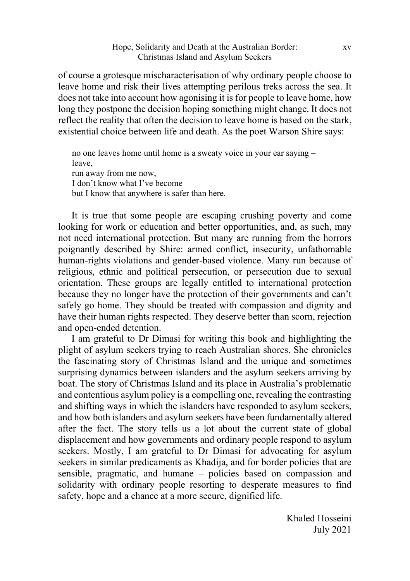#### Hope, Solidarity and Death at the Australian Border: Christmas Island and Asylum Seekers

of course a grotesque mischaracterisation of why ordinary people choose to leave home and risk their lives attempting perilous treks across the sea. It does not take into account how agonising it is for people to leave home, how long they postpone the decision hoping something might change. It does not reflect the reality that often the decision to leave home is based on the stark, existential choice between life and death. As the poet Warson Shire says:

no one leaves home until home is a sweaty voice in your ear saying – leave, run away from me now, I don't know what I've become but I know that anywhere is safer than here.

It is true that some people are escaping crushing poverty and come looking for work or education and better opportunities, and, as such, may not need international protection. But many are running from the horrors poignantly described by Shire: armed conflict, insecurity, unfathomable human-rights violations and gender-based violence. Many run because of religious, ethnic and political persecution, or persecution due to sexual orientation. These groups are legally entitled to international protection because they no longer have the protection of their governments and can't safely go home. They should be treated with compassion and dignity and have their human rights respected. They deserve better than scorn, rejection and open-ended detention.

I am grateful to Dr Dimasi for writing this book and highlighting the plight of asylum seekers trying to reach Australian shores. She chronicles the fascinating story of Christmas Island and the unique and sometimes surprising dynamics between islanders and the asylum seekers arriving by boat. The story of Christmas Island and its place in Australia's problematic and contentious asylum policy is a compelling one, revealing the contrasting and shifting ways in which the islanders have responded to asylum seekers, and how both islanders and asylum seekers have been fundamentally altered after the fact. The story tells us a lot about the current state of global displacement and how governments and ordinary people respond to asylum seekers. Mostly, I am grateful to Dr Dimasi for advocating for asylum seekers in similar predicaments as Khadija, and for border policies that are sensible, pragmatic, and humane – policies based on compassion and solidarity with ordinary people resorting to desperate measures to find safety, hope and a chance at a more secure, dignified life.

> Khaled Hosseini July 2021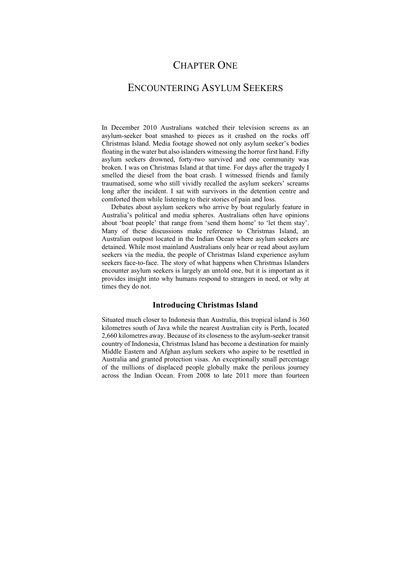## CHAPTER ONE

## ENCOUNTERING ASYLUM SEEKERS

In December 2010 Australians watched their television screens as an asylum-seeker boat smashed to pieces as it crashed on the rocks off Christmas Island. Media footage showed not only asylum seeker's bodies floating in the water but also islanders witnessing the horror first hand. Fifty asylum seekers drowned, forty-two survived and one community was broken. I was on Christmas Island at that time. For days after the tragedy I smelled the diesel from the boat crash. I witnessed friends and family traumatised, some who still vividly recalled the asylum seekers' screams long after the incident. I sat with survivors in the detention centre and comforted them while listening to their stories of pain and loss.

Debates about asylum seekers who arrive by boat regularly feature in Australia's political and media spheres. Australians often have opinions about 'boat people' that range from 'send them home' to 'let them stay'. Many of these discussions make reference to Christmas Island, an Australian outpost located in the Indian Ocean where asylum seekers are detained. While most mainland Australians only hear or read about asylum seekers via the media, the people of Christmas Island experience asylum seekers face-to-face. The story of what happens when Christmas Islanders encounter asylum seekers is largely an untold one, but it is important as it provides insight into why humans respond to strangers in need, or why at times they do not.

## **Introducing Christmas Island**

Situated much closer to Indonesia than Australia, this tropical island is 360 kilometres south of Java while the nearest Australian city is Perth, located 2,660 kilometres away. Because of its closeness to the asylum-seeker transit country of Indonesia, Christmas Island has become a destination for mainly Middle Eastern and Afghan asylum seekers who aspire to be resettled in Australia and granted protection visas. An exceptionally small percentage of the millions of displaced people globally make the perilous journey across the Indian Ocean. From 2008 to late 2011 more than fourteen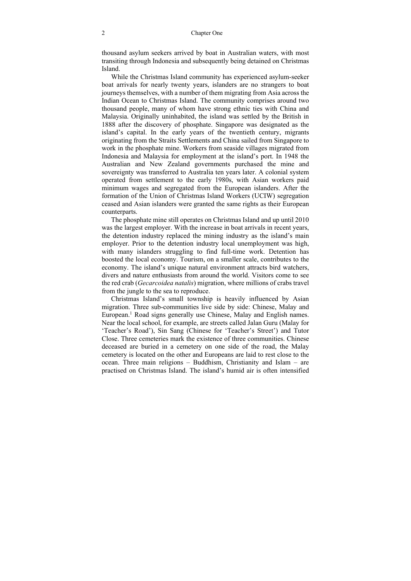thousand asylum seekers arrived by boat in Australian waters, with most transiting through Indonesia and subsequently being detained on Christmas Island.

While the Christmas Island community has experienced asylum-seeker boat arrivals for nearly twenty years, islanders are no strangers to boat journeys themselves, with a number of them migrating from Asia across the Indian Ocean to Christmas Island. The community comprises around two thousand people, many of whom have strong ethnic ties with China and Malaysia. Originally uninhabited, the island was settled by the British in 1888 after the discovery of phosphate. Singapore was designated as the island's capital. In the early years of the twentieth century, migrants originating from the Straits Settlements and China sailed from Singapore to work in the phosphate mine. Workers from seaside villages migrated from Indonesia and Malaysia for employment at the island's port. In 1948 the Australian and New Zealand governments purchased the mine and sovereignty was transferred to Australia ten years later. A colonial system operated from settlement to the early 1980s, with Asian workers paid minimum wages and segregated from the European islanders. After the formation of the Union of Christmas Island Workers (UCIW) segregation ceased and Asian islanders were granted the same rights as their European counterparts.

The phosphate mine still operates on Christmas Island and up until 2010 was the largest employer. With the increase in boat arrivals in recent years, the detention industry replaced the mining industry as the island's main employer. Prior to the detention industry local unemployment was high, with many islanders struggling to find full-time work. Detention has boosted the local economy. Tourism, on a smaller scale, contributes to the economy. The island's unique natural environment attracts bird watchers, divers and nature enthusiasts from around the world. Visitors come to see the red crab (*Gecarcoidea natalis*) migration, where millions of crabs travel from the jungle to the sea to reproduce.

Christmas Island's small township is heavily influenced by Asian migration. Three sub-communities live side by side: Chinese, Malay and European.<sup>1</sup> Road signs generally use Chinese, Malay and English names. Near the local school, for example, are streets called Jalan Guru (Malay for 'Teacher's Road'), Sin Sang (Chinese for 'Teacher's Street') and Tutor Close. Three cemeteries mark the existence of three communities. Chinese deceased are buried in a cemetery on one side of the road, the Malay cemetery is located on the other and Europeans are laid to rest close to the ocean. Three main religions – Buddhism, Christianity and Islam – are practised on Christmas Island. The island's humid air is often intensified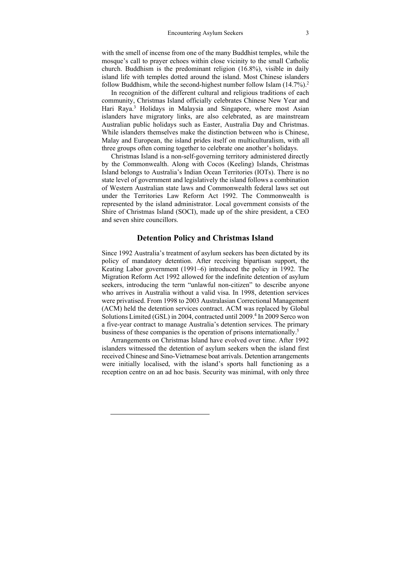with the smell of incense from one of the many Buddhist temples, while the mosque's call to prayer echoes within close vicinity to the small Catholic church. Buddhism is the predominant religion (16.8%), visible in daily island life with temples dotted around the island. Most Chinese islanders follow Buddhism, while the second-highest number follow Islam  $(14.7\%)$ <sup>2</sup>

In recognition of the different cultural and religious traditions of each community, Christmas Island officially celebrates Chinese New Year and Hari Raya.<sup>3</sup> Holidays in Malaysia and Singapore, where most Asian islanders have migratory links, are also celebrated, as are mainstream Australian public holidays such as Easter, Australia Day and Christmas. While islanders themselves make the distinction between who is Chinese, Malay and European, the island prides itself on multiculturalism, with all three groups often coming together to celebrate one another's holidays.

Christmas Island is a non-self-governing territory administered directly by the Commonwealth. Along with Cocos (Keeling) Islands, Christmas Island belongs to Australia's Indian Ocean Territories (IOTs). There is no state level of government and legislatively the island follows a combination of Western Australian state laws and Commonwealth federal laws set out under the Territories Law Reform Act 1992. The Commonwealth is represented by the island administrator. Local government consists of the Shire of Christmas Island (SOCI), made up of the shire president, a CEO and seven shire councillors.

### **Detention Policy and Christmas Island**

Since 1992 Australia's treatment of asylum seekers has been dictated by its policy of mandatory detention. After receiving bipartisan support, the Keating Labor government (1991–6) introduced the policy in 1992. The Migration Reform Act 1992 allowed for the indefinite detention of asylum seekers, introducing the term "unlawful non-citizen" to describe anyone who arrives in Australia without a valid visa. In 1998, detention services were privatised. From 1998 to 2003 Australasian Correctional Management (ACM) held the detention services contract. ACM was replaced by Global Solutions Limited (GSL) in 2004, contracted until 2009.<sup>4</sup> In 2009 Serco won a five-year contract to manage Australia's detention services. The primary business of these companies is the operation of prisons internationally.<sup>5</sup>

Arrangements on Christmas Island have evolved over time. After 1992 islanders witnessed the detention of asylum seekers when the island first received Chinese and Sino-Vietnamese boat arrivals. Detention arrangements were initially localised, with the island's sports hall functioning as a reception centre on an ad hoc basis. Security was minimal, with only three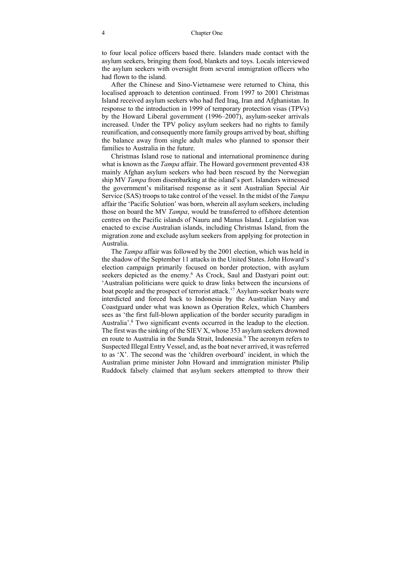to four local police officers based there. Islanders made contact with the asylum seekers, bringing them food, blankets and toys. Locals interviewed the asylum seekers with oversight from several immigration officers who had flown to the island.

After the Chinese and Sino-Vietnamese were returned to China, this localised approach to detention continued. From 1997 to 2001 Christmas Island received asylum seekers who had fled Iraq, Iran and Afghanistan. In response to the introduction in 1999 of temporary protection visas (TPVs) by the Howard Liberal government (1996–2007), asylum-seeker arrivals increased. Under the TPV policy asylum seekers had no rights to family reunification, and consequently more family groups arrived by boat, shifting the balance away from single adult males who planned to sponsor their families to Australia in the future.

Christmas Island rose to national and international prominence during what is known as the *Tampa* affair. The Howard government prevented 438 mainly Afghan asylum seekers who had been rescued by the Norwegian ship MV *Tampa* from disembarking at the island's port. Islanders witnessed the government's militarised response as it sent Australian Special Air Service (SAS) troops to take control of the vessel. In the midst of the *Tampa* affair the 'Pacific Solution' was born, wherein all asylum seekers, including those on board the MV *Tampa*, would be transferred to offshore detention centres on the Pacific islands of Nauru and Manus Island. Legislation was enacted to excise Australian islands, including Christmas Island, from the migration zone and exclude asylum seekers from applying for protection in Australia.

The *Tampa* affair was followed by the 2001 election, which was held in the shadow of the September 11 attacks in the United States. John Howard's election campaign primarily focused on border protection, with asylum seekers depicted as the enemy.<sup>6</sup> As Crock, Saul and Dastyari point out: 'Australian politicians were quick to draw links between the incursions of boat people and the prospect of terrorist attack.'7 Asylum-seeker boats were interdicted and forced back to Indonesia by the Australian Navy and Coastguard under what was known as Operation Relex, which Chambers sees as 'the first full-blown application of the border security paradigm in Australia'.<sup>8</sup> Two significant events occurred in the leadup to the election. The first was the sinking of the SIEV X, whose 353 asylum seekers drowned en route to Australia in the Sunda Strait, Indonesia.<sup>9</sup> The acronym refers to Suspected Illegal Entry Vessel, and, as the boat never arrived, it was referred to as 'X'. The second was the 'children overboard' incident, in which the Australian prime minister John Howard and immigration minister Philip Ruddock falsely claimed that asylum seekers attempted to throw their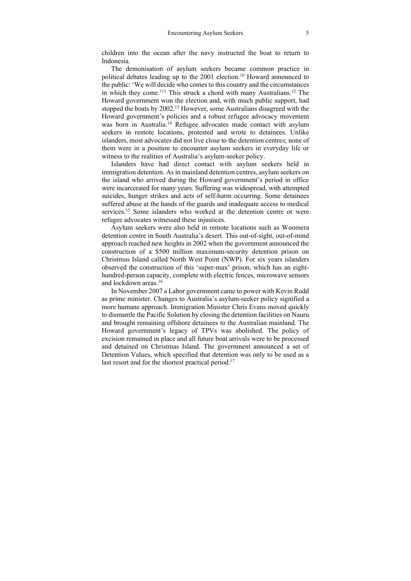children into the ocean after the navy instructed the boat to return to Indonesia.

The demonisation of asylum seekers became common practice in political debates leading up to the 2001 election.10 Howard announced to the public: 'We will decide who comes to this country and the circumstances in which they come.'11 This struck a chord with many Australians.12 The Howard government won the election and, with much public support, had stopped the boats by 2002.<sup>13</sup> However, some Australians disagreed with the Howard government's policies and a robust refugee advocacy movement was born in Australia.<sup>14</sup> Refugee advocates made contact with asylum seekers in remote locations, protested and wrote to detainees. Unlike islanders, most advocates did not live close to the detention centres; none of them were in a position to encounter asylum seekers in everyday life or witness to the realities of Australia's asylum-seeker policy.

Islanders have had direct contact with asylum seekers held in immigration detention. As in mainland detention centres, asylum seekers on the island who arrived during the Howard government's period in office were incarcerated for many years. Suffering was widespread, with attempted suicides, hunger strikes and acts of self-harm occurring. Some detainees suffered abuse at the hands of the guards and inadequate access to medical services.<sup>15</sup> Some islanders who worked at the detention centre or were refugee advocates witnessed these injustices.

Asylum seekers were also held in remote locations such as Woomera detention centre in South Australia's desert. This out-of-sight, out-of-mind approach reached new heights in 2002 when the government announced the construction of a \$500 million maximum-security detention prison on Christmas Island called North West Point (NWP). For six years islanders observed the construction of this 'super-max' prison, which has an eighthundred-person capacity, complete with electric fences, microwave sensors and lockdown areas.<sup>16</sup>

In November 2007 a Labor government came to power with Kevin Rudd as prime minister. Changes to Australia's asylum-seeker policy signified a more humane approach. Immigration Minister Chris Evans moved quickly to dismantle the Pacific Solution by closing the detention facilities on Nauru and brought remaining offshore detainees to the Australian mainland. The Howard government's legacy of TPVs was abolished. The policy of excision remained in place and all future boat arrivals were to be processed and detained on Christmas Island. The government announced a set of Detention Values, which specified that detention was only to be used as a last resort and for the shortest practical period.<sup>17</sup>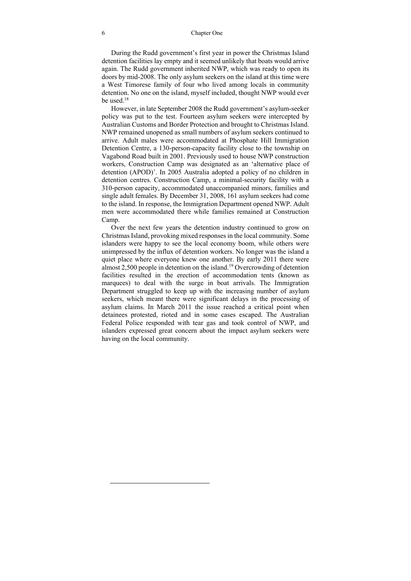#### 6 Chapter One

During the Rudd government's first year in power the Christmas Island detention facilities lay empty and it seemed unlikely that boats would arrive again. The Rudd government inherited NWP, which was ready to open its doors by mid-2008. The only asylum seekers on the island at this time were a West Timorese family of four who lived among locals in community detention. No one on the island, myself included, thought NWP would ever be used.18

However, in late September 2008 the Rudd government's asylum-seeker policy was put to the test. Fourteen asylum seekers were intercepted by Australian Customs and Border Protection and brought to Christmas Island. NWP remained unopened as small numbers of asylum seekers continued to arrive. Adult males were accommodated at Phosphate Hill Immigration Detention Centre, a 130-person-capacity facility close to the township on Vagabond Road built in 2001. Previously used to house NWP construction workers, Construction Camp was designated as an 'alternative place of detention (APOD)'. In 2005 Australia adopted a policy of no children in detention centres. Construction Camp, a minimal-security facility with a 310-person capacity, accommodated unaccompanied minors, families and single adult females. By December 31, 2008, 161 asylum seekers had come to the island. In response, the Immigration Department opened NWP. Adult men were accommodated there while families remained at Construction Camp.

Over the next few years the detention industry continued to grow on Christmas Island, provoking mixed responses in the local community. Some islanders were happy to see the local economy boom, while others were unimpressed by the influx of detention workers. No longer was the island a quiet place where everyone knew one another. By early 2011 there were almost 2,500 people in detention on the island.19 Overcrowding of detention facilities resulted in the erection of accommodation tents (known as marquees) to deal with the surge in boat arrivals. The Immigration Department struggled to keep up with the increasing number of asylum seekers, which meant there were significant delays in the processing of asylum claims. In March 2011 the issue reached a critical point when detainees protested, rioted and in some cases escaped. The Australian Federal Police responded with tear gas and took control of NWP, and islanders expressed great concern about the impact asylum seekers were having on the local community.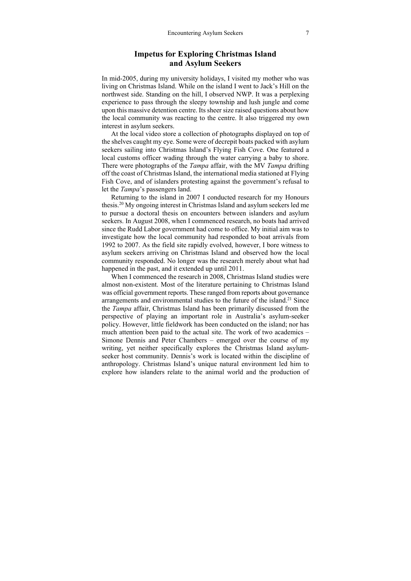## **Impetus for Exploring Christmas Island and Asylum Seekers**

In mid-2005, during my university holidays, I visited my mother who was living on Christmas Island. While on the island I went to Jack's Hill on the northwest side. Standing on the hill, I observed NWP. It was a perplexing experience to pass through the sleepy township and lush jungle and come upon this massive detention centre. Its sheer size raised questions about how the local community was reacting to the centre. It also triggered my own interest in asylum seekers.

At the local video store a collection of photographs displayed on top of the shelves caught my eye. Some were of decrepit boats packed with asylum seekers sailing into Christmas Island's Flying Fish Cove. One featured a local customs officer wading through the water carrying a baby to shore. There were photographs of the *Tampa* affair, with the MV *Tampa* drifting off the coast of Christmas Island, the international media stationed at Flying Fish Cove, and of islanders protesting against the government's refusal to let the *Tampa*'s passengers land.

Returning to the island in 2007 I conducted research for my Honours thesis.20 My ongoing interest in Christmas Island and asylum seekers led me to pursue a doctoral thesis on encounters between islanders and asylum seekers. In August 2008, when I commenced research, no boats had arrived since the Rudd Labor government had come to office. My initial aim was to investigate how the local community had responded to boat arrivals from 1992 to 2007. As the field site rapidly evolved, however, I bore witness to asylum seekers arriving on Christmas Island and observed how the local community responded. No longer was the research merely about what had happened in the past, and it extended up until 2011.

When I commenced the research in 2008, Christmas Island studies were almost non-existent. Most of the literature pertaining to Christmas Island was official government reports. These ranged from reports about governance arrangements and environmental studies to the future of the island.<sup>21</sup> Since the *Tampa* affair, Christmas Island has been primarily discussed from the perspective of playing an important role in Australia's asylum-seeker policy. However, little fieldwork has been conducted on the island; nor has much attention been paid to the actual site. The work of two academics – Simone Dennis and Peter Chambers – emerged over the course of my writing, yet neither specifically explores the Christmas Island asylumseeker host community. Dennis's work is located within the discipline of anthropology. Christmas Island's unique natural environment led him to explore how islanders relate to the animal world and the production of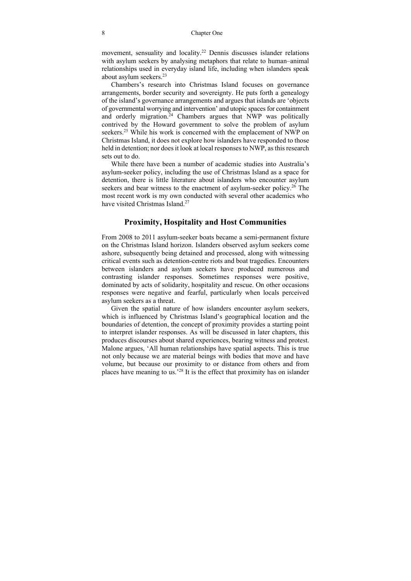movement, sensuality and locality.22 Dennis discusses islander relations with asylum seekers by analysing metaphors that relate to human–animal relationships used in everyday island life, including when islanders speak about asylum seekers.<sup>23</sup>

Chambers's research into Christmas Island focuses on governance arrangements, border security and sovereignty. He puts forth a genealogy of the island's governance arrangements and argues that islands are 'objects of governmental worrying and intervention' and utopic spaces for containment and orderly migration.<sup>24</sup> Chambers argues that NWP was politically contrived by the Howard government to solve the problem of asylum seekers.<sup>25</sup> While his work is concerned with the emplacement of NWP on Christmas Island, it does not explore how islanders have responded to those held in detention; nor does it look at local responses to NWP, as this research sets out to do.

While there have been a number of academic studies into Australia's asylum-seeker policy, including the use of Christmas Island as a space for detention, there is little literature about islanders who encounter asylum seekers and bear witness to the enactment of asylum-seeker policy.<sup>26</sup> The most recent work is my own conducted with several other academics who have visited Christmas Island.<sup>27</sup>

#### **Proximity, Hospitality and Host Communities**

From 2008 to 2011 asylum-seeker boats became a semi-permanent fixture on the Christmas Island horizon. Islanders observed asylum seekers come ashore, subsequently being detained and processed, along with witnessing critical events such as detention-centre riots and boat tragedies. Encounters between islanders and asylum seekers have produced numerous and contrasting islander responses. Sometimes responses were positive, dominated by acts of solidarity, hospitality and rescue. On other occasions responses were negative and fearful, particularly when locals perceived asylum seekers as a threat.

Given the spatial nature of how islanders encounter asylum seekers, which is influenced by Christmas Island's geographical location and the boundaries of detention, the concept of proximity provides a starting point to interpret islander responses. As will be discussed in later chapters, this produces discourses about shared experiences, bearing witness and protest. Malone argues, 'All human relationships have spatial aspects. This is true not only because we are material beings with bodies that move and have volume, but because our proximity to or distance from others and from places have meaning to us.'28 It is the effect that proximity has on islander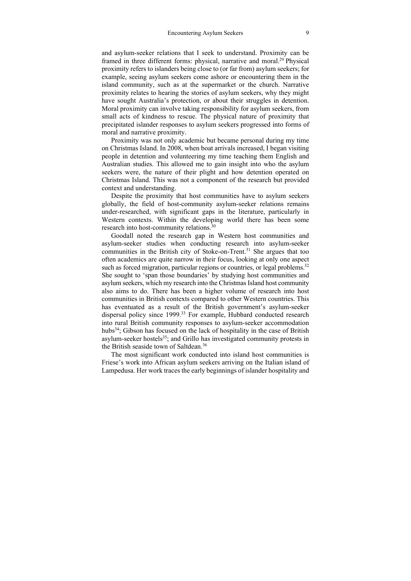and asylum-seeker relations that I seek to understand. Proximity can be framed in three different forms: physical, narrative and moral.<sup>29</sup> Physical proximity refers to islanders being close to (or far from) asylum seekers; for example, seeing asylum seekers come ashore or encountering them in the island community, such as at the supermarket or the church. Narrative proximity relates to hearing the stories of asylum seekers, why they might have sought Australia's protection, or about their struggles in detention. Moral proximity can involve taking responsibility for asylum seekers, from small acts of kindness to rescue. The physical nature of proximity that precipitated islander responses to asylum seekers progressed into forms of moral and narrative proximity.

Proximity was not only academic but became personal during my time on Christmas Island. In 2008, when boat arrivals increased, I began visiting people in detention and volunteering my time teaching them English and Australian studies. This allowed me to gain insight into who the asylum seekers were, the nature of their plight and how detention operated on Christmas Island. This was not a component of the research but provided context and understanding.

Despite the proximity that host communities have to asylum seekers globally, the field of host-community asylum-seeker relations remains under-researched, with significant gaps in the literature, particularly in Western contexts. Within the developing world there has been some research into host-community relations.30

Goodall noted the research gap in Western host communities and asylum-seeker studies when conducting research into asylum-seeker communities in the British city of Stoke-on-Trent.<sup>31</sup> She argues that too often academics are quite narrow in their focus, looking at only one aspect such as forced migration, particular regions or countries, or legal problems.<sup>32</sup> She sought to 'span those boundaries' by studying host communities and asylum seekers, which my research into the Christmas Island host community also aims to do. There has been a higher volume of research into host communities in British contexts compared to other Western countries. This has eventuated as a result of the British government's asylum-seeker dispersal policy since 1999.<sup>33</sup> For example, Hubbard conducted research into rural British community responses to asylum-seeker accommodation hubs<sup>34</sup>; Gibson has focused on the lack of hospitality in the case of British asylum-seeker hostels<sup>35</sup>; and Grillo has investigated community protests in the British seaside town of Saltdean.36

The most significant work conducted into island host communities is Friese's work into African asylum seekers arriving on the Italian island of Lampedusa. Her work traces the early beginnings of islander hospitality and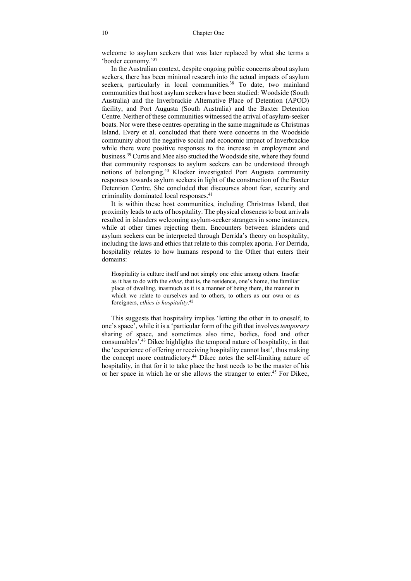welcome to asylum seekers that was later replaced by what she terms a 'border economy.'37

In the Australian context, despite ongoing public concerns about asylum seekers, there has been minimal research into the actual impacts of asylum seekers, particularly in local communities.<sup>38</sup> To date, two mainland communities that host asylum seekers have been studied: Woodside (South Australia) and the Inverbrackie Alternative Place of Detention (APOD) facility, and Port Augusta (South Australia) and the Baxter Detention Centre. Neither of these communities witnessed the arrival of asylum-seeker boats. Nor were these centres operating in the same magnitude as Christmas Island. Every et al. concluded that there were concerns in the Woodside community about the negative social and economic impact of Inverbrackie while there were positive responses to the increase in employment and business.39 Curtis and Mee also studied the Woodside site, where they found that community responses to asylum seekers can be understood through notions of belonging.40 Klocker investigated Port Augusta community responses towards asylum seekers in light of the construction of the Baxter Detention Centre. She concluded that discourses about fear, security and criminality dominated local responses.<sup>41</sup>

It is within these host communities, including Christmas Island, that proximity leads to acts of hospitality. The physical closeness to boat arrivals resulted in islanders welcoming asylum-seeker strangers in some instances, while at other times rejecting them. Encounters between islanders and asylum seekers can be interpreted through Derrida's theory on hospitality, including the laws and ethics that relate to this complex aporia. For Derrida, hospitality relates to how humans respond to the Other that enters their domains:

Hospitality is culture itself and not simply one ethic among others. Insofar as it has to do with the *ethos*, that is, the residence, one's home, the familiar place of dwelling, inasmuch as it is a manner of being there, the manner in which we relate to ourselves and to others, to others as our own or as foreigners, *ethics is hospitality*. 42

This suggests that hospitality implies 'letting the other in to oneself, to one's space', while it is a 'particular form of the gift that involves *temporary*  sharing of space, and sometimes also time, bodies, food and other consumables'.43 Dikec highlights the temporal nature of hospitality, in that the 'experience of offering or receiving hospitality cannot last', thus making the concept more contradictory.<sup>44</sup> Dikec notes the self-limiting nature of hospitality, in that for it to take place the host needs to be the master of his or her space in which he or she allows the stranger to enter.45 For Dikec,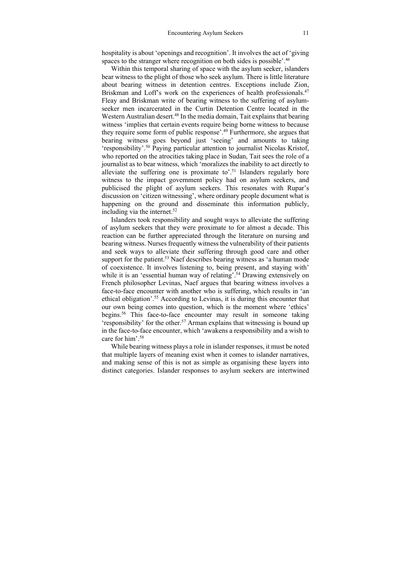hospitality is about 'openings and recognition'. It involves the act of 'giving spaces to the stranger where recognition on both sides is possible'.<sup>46</sup>

Within this temporal sharing of space with the asylum seeker, islanders bear witness to the plight of those who seek asylum. There is little literature about bearing witness in detention centres. Exceptions include Zion, Briskman and Loff's work on the experiences of health professionals.<sup>47</sup> Fleay and Briskman write of bearing witness to the suffering of asylumseeker men incarcerated in the Curtin Detention Centre located in the Western Australian desert.<sup>48</sup> In the media domain, Tait explains that bearing witness 'implies that certain events require being borne witness to because they require some form of public response'.49 Furthermore, she argues that bearing witness goes beyond just 'seeing' and amounts to taking 'responsibility'.50 Paying particular attention to journalist Nicolas Kristof, who reported on the atrocities taking place in Sudan, Tait sees the role of a journalist as to bear witness, which 'moralizes the inability to act directly to alleviate the suffering one is proximate to'.51 Islanders regularly bore witness to the impact government policy had on asylum seekers, and publicised the plight of asylum seekers. This resonates with Rupar's discussion on 'citizen witnessing', where ordinary people document what is happening on the ground and disseminate this information publicly, including via the internet.<sup>52</sup>

Islanders took responsibility and sought ways to alleviate the suffering of asylum seekers that they were proximate to for almost a decade. This reaction can be further appreciated through the literature on nursing and bearing witness. Nurses frequently witness the vulnerability of their patients and seek ways to alleviate their suffering through good care and other support for the patient.<sup>53</sup> Naef describes bearing witness as 'a human mode of coexistence. It involves listening to, being present, and staying with' while it is an 'essential human way of relating'.<sup>54</sup> Drawing extensively on French philosopher Levinas, Naef argues that bearing witness involves a face-to-face encounter with another who is suffering, which results in 'an ethical obligation'.55 According to Levinas, it is during this encounter that our own being comes into question, which is the moment where 'ethics' begins.56 This face-to-face encounter may result in someone taking 'responsibility' for the other.<sup>57</sup> Arman explains that witnessing is bound up in the face-to-face encounter, which 'awakens a responsibility and a wish to care for him'.<sup>58</sup>

While bearing witness plays a role in islander responses, it must be noted that multiple layers of meaning exist when it comes to islander narratives, and making sense of this is not as simple as organising these layers into distinct categories. Islander responses to asylum seekers are intertwined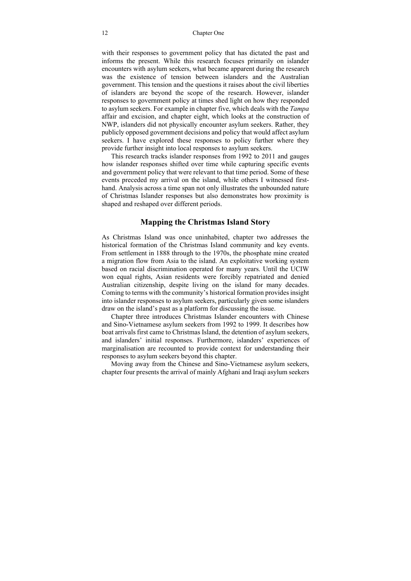with their responses to government policy that has dictated the past and informs the present. While this research focuses primarily on islander encounters with asylum seekers, what became apparent during the research was the existence of tension between islanders and the Australian government. This tension and the questions it raises about the civil liberties of islanders are beyond the scope of the research. However, islander responses to government policy at times shed light on how they responded to asylum seekers. For example in chapter five, which deals with the *Tampa* affair and excision, and chapter eight, which looks at the construction of NWP, islanders did not physically encounter asylum seekers. Rather, they publicly opposed government decisions and policy that would affect asylum seekers. I have explored these responses to policy further where they provide further insight into local responses to asylum seekers.

This research tracks islander responses from 1992 to 2011 and gauges how islander responses shifted over time while capturing specific events and government policy that were relevant to that time period. Some of these events preceded my arrival on the island, while others I witnessed firsthand. Analysis across a time span not only illustrates the unbounded nature of Christmas Islander responses but also demonstrates how proximity is shaped and reshaped over different periods.

#### **Mapping the Christmas Island Story**

As Christmas Island was once uninhabited, chapter two addresses the historical formation of the Christmas Island community and key events. From settlement in 1888 through to the 1970s, the phosphate mine created a migration flow from Asia to the island. An exploitative working system based on racial discrimination operated for many years. Until the UCIW won equal rights, Asian residents were forcibly repatriated and denied Australian citizenship, despite living on the island for many decades. Coming to terms with the community's historical formation provides insight into islander responses to asylum seekers, particularly given some islanders draw on the island's past as a platform for discussing the issue.

Chapter three introduces Christmas Islander encounters with Chinese and Sino-Vietnamese asylum seekers from 1992 to 1999. It describes how boat arrivals first came to Christmas Island, the detention of asylum seekers, and islanders' initial responses. Furthermore, islanders' experiences of marginalisation are recounted to provide context for understanding their responses to asylum seekers beyond this chapter.

Moving away from the Chinese and Sino-Vietnamese asylum seekers, chapter four presents the arrival of mainly Afghani and Iraqi asylum seekers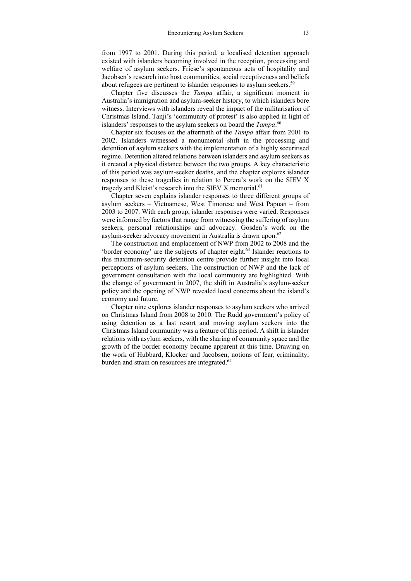from 1997 to 2001. During this period, a localised detention approach existed with islanders becoming involved in the reception, processing and welfare of asylum seekers. Friese's spontaneous acts of hospitality and Jacobsen's research into host communities, social receptiveness and beliefs about refugees are pertinent to islander responses to asylum seekers.<sup>59</sup>

Chapter five discusses the *Tampa* affair, a significant moment in Australia's immigration and asylum-seeker history, to which islanders bore witness. Interviews with islanders reveal the impact of the militarisation of Christmas Island. Tanji's 'community of protest' is also applied in light of islanders' responses to the asylum seekers on board the *Tampa*. 60

Chapter six focuses on the aftermath of the *Tampa* affair from 2001 to 2002. Islanders witnessed a monumental shift in the processing and detention of asylum seekers with the implementation of a highly securitised regime. Detention altered relations between islanders and asylum seekers as it created a physical distance between the two groups. A key characteristic of this period was asylum-seeker deaths, and the chapter explores islander responses to these tragedies in relation to Perera's work on the SIEV X tragedy and Kleist's research into the SIEV X memorial.<sup>61</sup>

Chapter seven explains islander responses to three different groups of asylum seekers – Vietnamese, West Timorese and West Papuan – from 2003 to 2007. With each group, islander responses were varied. Responses were informed by factors that range from witnessing the suffering of asylum seekers, personal relationships and advocacy. Gosden's work on the asylum-seeker advocacy movement in Australia is drawn upon.<sup>62</sup>

The construction and emplacement of NWP from 2002 to 2008 and the 'border economy' are the subjects of chapter eight.<sup>63</sup> Islander reactions to this maximum-security detention centre provide further insight into local perceptions of asylum seekers. The construction of NWP and the lack of government consultation with the local community are highlighted. With the change of government in 2007, the shift in Australia's asylum-seeker policy and the opening of NWP revealed local concerns about the island's economy and future.

Chapter nine explores islander responses to asylum seekers who arrived on Christmas Island from 2008 to 2010. The Rudd government's policy of using detention as a last resort and moving asylum seekers into the Christmas Island community was a feature of this period. A shift in islander relations with asylum seekers, with the sharing of community space and the growth of the border economy became apparent at this time. Drawing on the work of Hubbard, Klocker and Jacobsen, notions of fear, criminality, burden and strain on resources are integrated.<sup>64</sup>